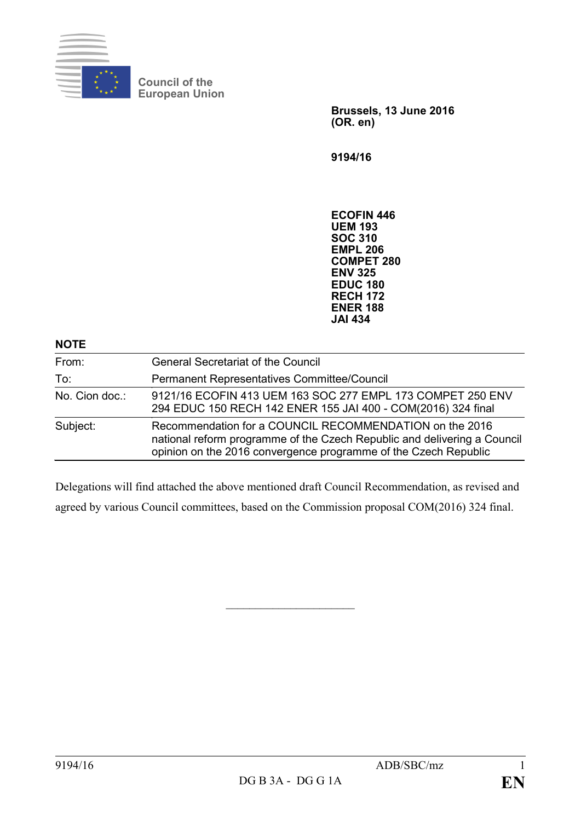

**Council of the European Union**

> **Brussels, 13 June 2016 (OR. en)**

**9194/16**

**ECOFIN 446 UEM 193 SOC 310 EMPL 206 COMPET 280 ENV 325 EDUC 180 RECH 172 ENER 188 JAI 434**

| <b>NOTE</b>    |                                                                                                                                                                                                        |
|----------------|--------------------------------------------------------------------------------------------------------------------------------------------------------------------------------------------------------|
| From:          | <b>General Secretariat of the Council</b>                                                                                                                                                              |
| To:            | <b>Permanent Representatives Committee/Council</b>                                                                                                                                                     |
| No. Cion doc.: | 9121/16 ECOFIN 413 UEM 163 SOC 277 EMPL 173 COMPET 250 ENV<br>294 EDUC 150 RECH 142 ENER 155 JAI 400 - COM(2016) 324 final                                                                             |
| Subject:       | Recommendation for a COUNCIL RECOMMENDATION on the 2016<br>national reform programme of the Czech Republic and delivering a Council<br>opinion on the 2016 convergence programme of the Czech Republic |

Delegations will find attached the above mentioned draft Council Recommendation, as revised and agreed by various Council committees, based on the Commission proposal COM(2016) 324 final.

 $\overline{\phantom{a}}$  , which is a set of the set of the set of the set of the set of the set of the set of the set of the set of the set of the set of the set of the set of the set of the set of the set of the set of the set of th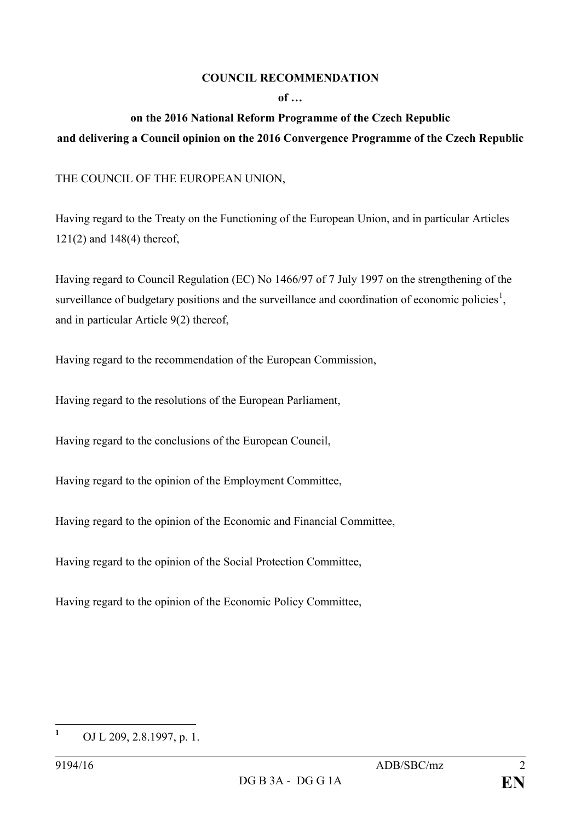## **COUNCIL RECOMMENDATION**

## **of …**

## **on the 2016 National Reform Programme of the Czech Republic and delivering a Council opinion on the 2016 Convergence Programme of the Czech Republic**

THE COUNCIL OF THE EUROPEAN UNION,

Having regard to the Treaty on the Functioning of the European Union, and in particular Articles 121(2) and 148(4) thereof,

Having regard to Council Regulation (EC) No 1466/97 of 7 July 1997 on the strengthening of the surveillance of budgetary positions and the surveillance and coordination of economic policies<sup>[1](#page-1-0)</sup>, and in particular Article 9(2) thereof,

Having regard to the recommendation of the European Commission,

Having regard to the resolutions of the European Parliament,

Having regard to the conclusions of the European Council,

Having regard to the opinion of the Employment Committee,

Having regard to the opinion of the Economic and Financial Committee,

Having regard to the opinion of the Social Protection Committee,

Having regard to the opinion of the Economic Policy Committee,

<span id="page-1-0"></span>**<sup>1</sup>** OJ L 209, 2.8.1997, p. 1.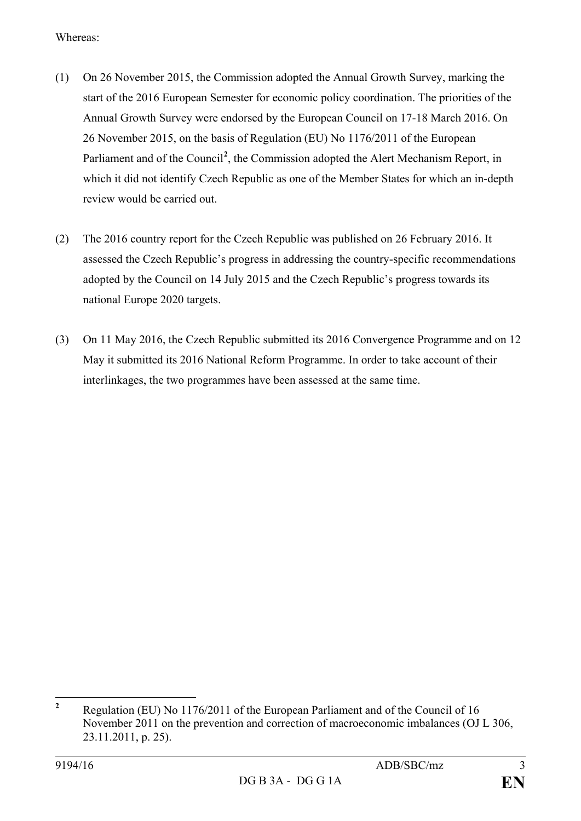Whereas:

- (1) On 26 November 2015, the Commission adopted the Annual Growth Survey, marking the start of the 2016 European Semester for economic policy coordination. The priorities of the Annual Growth Survey were endorsed by the European Council on 17-18 March 2016. On 26 November 2015, on the basis of Regulation (EU) No 1176/2011 of the European Parliament and of the Council<sup>[2](#page-2-0)</sup>, the Commission adopted the Alert Mechanism Report, in which it did not identify Czech Republic as one of the Member States for which an in-depth review would be carried out.
- (2) The 2016 country report for the Czech Republic was published on 26 February 2016. It assessed the Czech Republic's progress in addressing the country-specific recommendations adopted by the Council on 14 July 2015 and the Czech Republic's progress towards its national Europe 2020 targets.
- (3) On 11 May 2016, the Czech Republic submitted its 2016 Convergence Programme and on 12 May it submitted its 2016 National Reform Programme. In order to take account of their interlinkages, the two programmes have been assessed at the same time.

<span id="page-2-0"></span>**<sup>2</sup>** Regulation (EU) No 1176/2011 of the European Parliament and of the Council of 16 November 2011 on the prevention and correction of macroeconomic imbalances (OJ L 306, 23.11.2011, p. 25).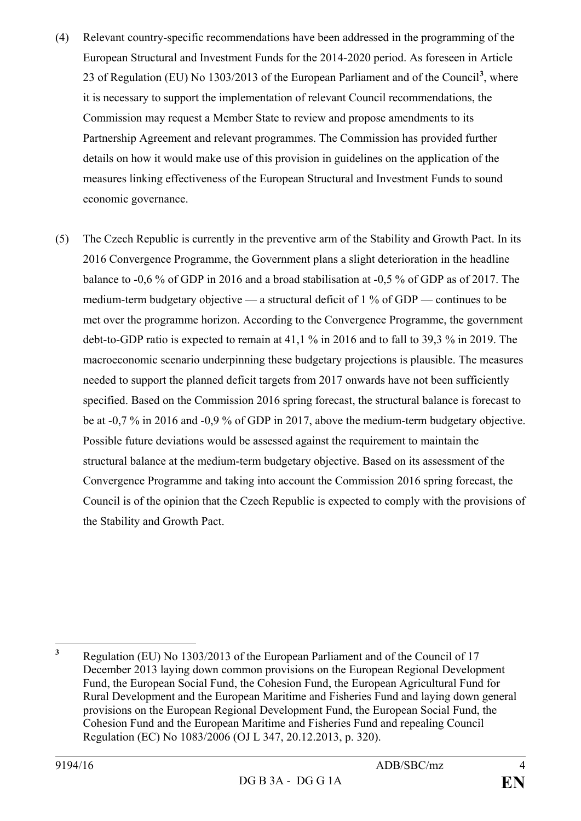- (4) Relevant country-specific recommendations have been addressed in the programming of the European Structural and Investment Funds for the 2014-2020 period. As foreseen in Article 23 of Regulation (EU) No 1303/2013 of the European Parliament and of the Council**[3](#page-3-0)** , where it is necessary to support the implementation of relevant Council recommendations, the Commission may request a Member State to review and propose amendments to its Partnership Agreement and relevant programmes. The Commission has provided further details on how it would make use of this provision in guidelines on the application of the measures linking effectiveness of the European Structural and Investment Funds to sound economic governance.
- (5) The Czech Republic is currently in the preventive arm of the Stability and Growth Pact. In its 2016 Convergence Programme, the Government plans a slight deterioration in the headline balance to -0,6 % of GDP in 2016 and a broad stabilisation at -0,5 % of GDP as of 2017. The medium-term budgetary objective — a structural deficit of 1 % of GDP — continues to be met over the programme horizon. According to the Convergence Programme, the government debt-to-GDP ratio is expected to remain at 41,1 % in 2016 and to fall to 39,3 % in 2019. The macroeconomic scenario underpinning these budgetary projections is plausible. The measures needed to support the planned deficit targets from 2017 onwards have not been sufficiently specified. Based on the Commission 2016 spring forecast, the structural balance is forecast to be at -0,7 % in 2016 and -0,9 % of GDP in 2017, above the medium-term budgetary objective. Possible future deviations would be assessed against the requirement to maintain the structural balance at the medium-term budgetary objective. Based on its assessment of the Convergence Programme and taking into account the Commission 2016 spring forecast, the Council is of the opinion that the Czech Republic is expected to comply with the provisions of the Stability and Growth Pact.

<span id="page-3-0"></span>**<sup>3</sup>** Regulation (EU) No 1303/2013 of the European Parliament and of the Council of 17 December 2013 laying down common provisions on the European Regional Development Fund, the European Social Fund, the Cohesion Fund, the European Agricultural Fund for Rural Development and the European Maritime and Fisheries Fund and laying down general provisions on the European Regional Development Fund, the European Social Fund, the Cohesion Fund and the European Maritime and Fisheries Fund and repealing Council Regulation (EC) No 1083/2006 (OJ L 347, 20.12.2013, p. 320).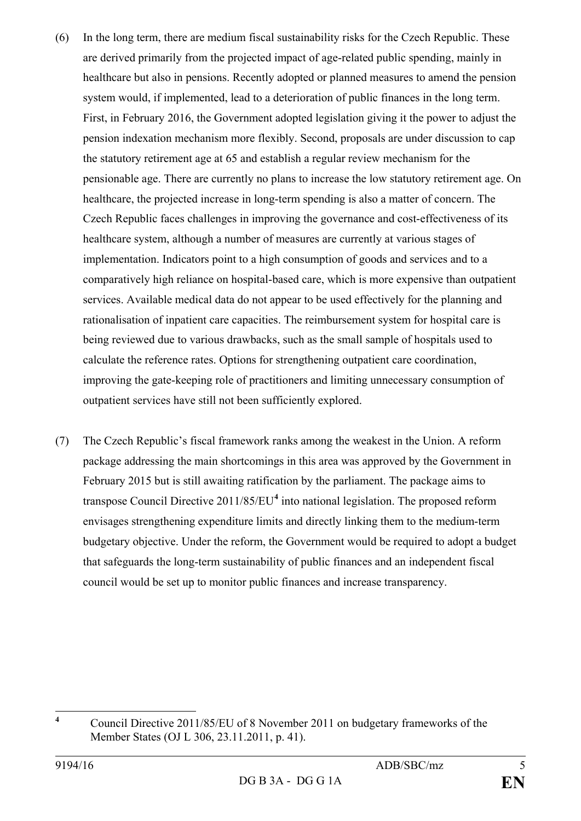- (6) In the long term, there are medium fiscal sustainability risks for the Czech Republic. These are derived primarily from the projected impact of age-related public spending, mainly in healthcare but also in pensions. Recently adopted or planned measures to amend the pension system would, if implemented, lead to a deterioration of public finances in the long term. First, in February 2016, the Government adopted legislation giving it the power to adjust the pension indexation mechanism more flexibly. Second, proposals are under discussion to cap the statutory retirement age at 65 and establish a regular review mechanism for the pensionable age. There are currently no plans to increase the low statutory retirement age. On healthcare, the projected increase in long-term spending is also a matter of concern. The Czech Republic faces challenges in improving the governance and cost-effectiveness of its healthcare system, although a number of measures are currently at various stages of implementation. Indicators point to a high consumption of goods and services and to a comparatively high reliance on hospital-based care, which is more expensive than outpatient services. Available medical data do not appear to be used effectively for the planning and rationalisation of inpatient care capacities. The reimbursement system for hospital care is being reviewed due to various drawbacks, such as the small sample of hospitals used to calculate the reference rates. Options for strengthening outpatient care coordination, improving the gate-keeping role of practitioners and limiting unnecessary consumption of outpatient services have still not been sufficiently explored.
- (7) The Czech Republic's fiscal framework ranks among the weakest in the Union. A reform package addressing the main shortcomings in this area was approved by the Government in February 2015 but is still awaiting ratification by the parliament. The package aims to transpose Council Directive 2011/85/EU**[4](#page-4-0)** into national legislation. The proposed reform envisages strengthening expenditure limits and directly linking them to the medium-term budgetary objective. Under the reform, the Government would be required to adopt a budget that safeguards the long-term sustainability of public finances and an independent fiscal council would be set up to monitor public finances and increase transparency.

<span id="page-4-0"></span>**<sup>4</sup>** Council Directive 2011/85/EU of 8 November 2011 on budgetary frameworks of the Member States (OJ L 306, 23.11.2011, p. 41).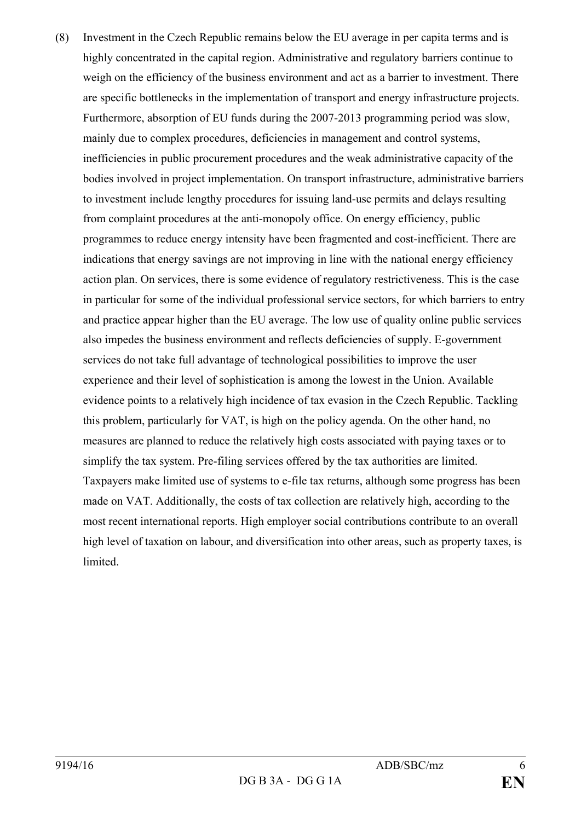(8) Investment in the Czech Republic remains below the EU average in per capita terms and is highly concentrated in the capital region. Administrative and regulatory barriers continue to weigh on the efficiency of the business environment and act as a barrier to investment. There are specific bottlenecks in the implementation of transport and energy infrastructure projects. Furthermore, absorption of EU funds during the 2007-2013 programming period was slow, mainly due to complex procedures, deficiencies in management and control systems, inefficiencies in public procurement procedures and the weak administrative capacity of the bodies involved in project implementation. On transport infrastructure, administrative barriers to investment include lengthy procedures for issuing land-use permits and delays resulting from complaint procedures at the anti-monopoly office. On energy efficiency, public programmes to reduce energy intensity have been fragmented and cost-inefficient. There are indications that energy savings are not improving in line with the national energy efficiency action plan. On services, there is some evidence of regulatory restrictiveness. This is the case in particular for some of the individual professional service sectors, for which barriers to entry and practice appear higher than the EU average. The low use of quality online public services also impedes the business environment and reflects deficiencies of supply. E-government services do not take full advantage of technological possibilities to improve the user experience and their level of sophistication is among the lowest in the Union. Available evidence points to a relatively high incidence of tax evasion in the Czech Republic. Tackling this problem, particularly for VAT, is high on the policy agenda. On the other hand, no measures are planned to reduce the relatively high costs associated with paying taxes or to simplify the tax system. Pre-filing services offered by the tax authorities are limited. Taxpayers make limited use of systems to e-file tax returns, although some progress has been made on VAT. Additionally, the costs of tax collection are relatively high, according to the most recent international reports. High employer social contributions contribute to an overall high level of taxation on labour, and diversification into other areas, such as property taxes, is limited.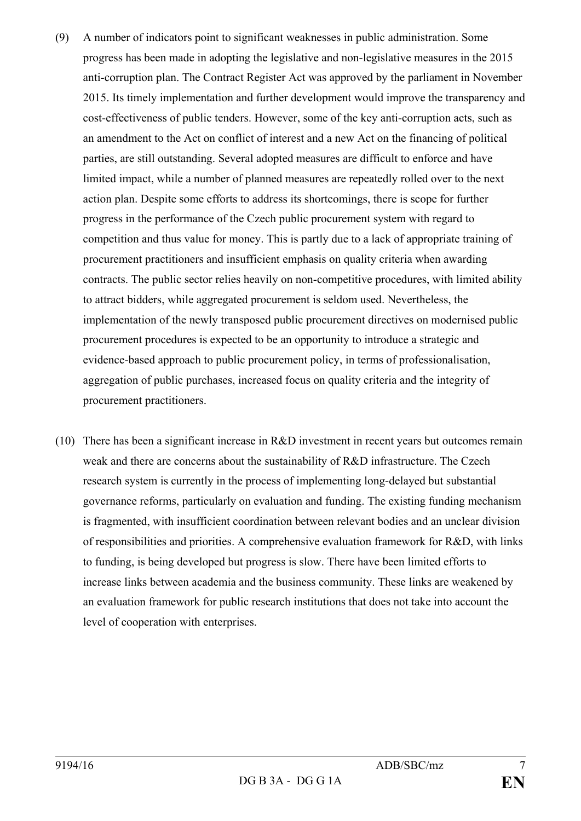- (9) A number of indicators point to significant weaknesses in public administration. Some progress has been made in adopting the legislative and non-legislative measures in the 2015 anti-corruption plan. The Contract Register Act was approved by the parliament in November 2015. Its timely implementation and further development would improve the transparency and cost-effectiveness of public tenders. However, some of the key anti-corruption acts, such as an amendment to the Act on conflict of interest and a new Act on the financing of political parties, are still outstanding. Several adopted measures are difficult to enforce and have limited impact, while a number of planned measures are repeatedly rolled over to the next action plan. Despite some efforts to address its shortcomings, there is scope for further progress in the performance of the Czech public procurement system with regard to competition and thus value for money. This is partly due to a lack of appropriate training of procurement practitioners and insufficient emphasis on quality criteria when awarding contracts. The public sector relies heavily on non-competitive procedures, with limited ability to attract bidders, while aggregated procurement is seldom used. Nevertheless, the implementation of the newly transposed public procurement directives on modernised public procurement procedures is expected to be an opportunity to introduce a strategic and evidence-based approach to public procurement policy, in terms of professionalisation, aggregation of public purchases, increased focus on quality criteria and the integrity of procurement practitioners.
- (10) There has been a significant increase in R&D investment in recent years but outcomes remain weak and there are concerns about the sustainability of R&D infrastructure. The Czech research system is currently in the process of implementing long-delayed but substantial governance reforms, particularly on evaluation and funding. The existing funding mechanism is fragmented, with insufficient coordination between relevant bodies and an unclear division of responsibilities and priorities. A comprehensive evaluation framework for R&D, with links to funding, is being developed but progress is slow. There have been limited efforts to increase links between academia and the business community. These links are weakened by an evaluation framework for public research institutions that does not take into account the level of cooperation with enterprises.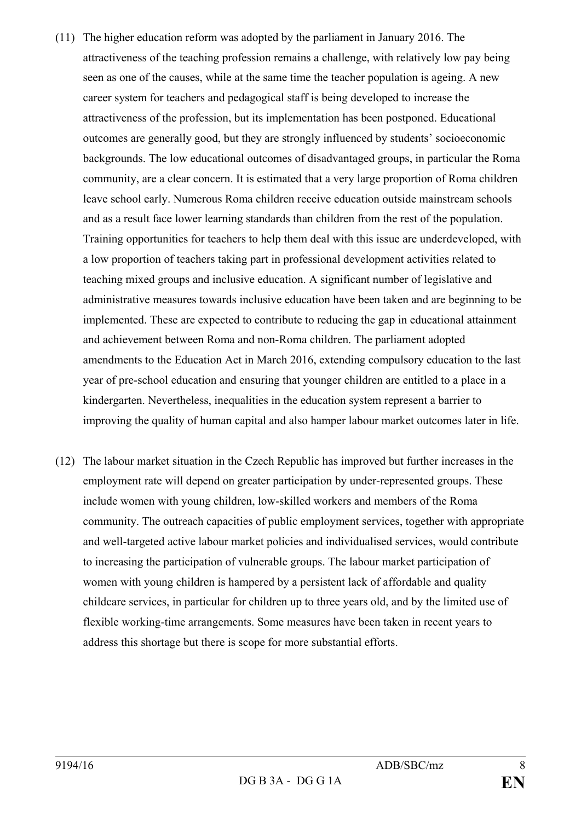- (11) The higher education reform was adopted by the parliament in January 2016. The attractiveness of the teaching profession remains a challenge, with relatively low pay being seen as one of the causes, while at the same time the teacher population is ageing. A new career system for teachers and pedagogical staff is being developed to increase the attractiveness of the profession, but its implementation has been postponed. Educational outcomes are generally good, but they are strongly influenced by students' socioeconomic backgrounds. The low educational outcomes of disadvantaged groups, in particular the Roma community, are a clear concern. It is estimated that a very large proportion of Roma children leave school early. Numerous Roma children receive education outside mainstream schools and as a result face lower learning standards than children from the rest of the population. Training opportunities for teachers to help them deal with this issue are underdeveloped, with a low proportion of teachers taking part in professional development activities related to teaching mixed groups and inclusive education. A significant number of legislative and administrative measures towards inclusive education have been taken and are beginning to be implemented. These are expected to contribute to reducing the gap in educational attainment and achievement between Roma and non-Roma children. The parliament adopted amendments to the Education Act in March 2016, extending compulsory education to the last year of pre-school education and ensuring that younger children are entitled to a place in a kindergarten. Nevertheless, inequalities in the education system represent a barrier to improving the quality of human capital and also hamper labour market outcomes later in life.
- (12) The labour market situation in the Czech Republic has improved but further increases in the employment rate will depend on greater participation by under-represented groups. These include women with young children, low-skilled workers and members of the Roma community. The outreach capacities of public employment services, together with appropriate and well-targeted active labour market policies and individualised services, would contribute to increasing the participation of vulnerable groups. The labour market participation of women with young children is hampered by a persistent lack of affordable and quality childcare services, in particular for children up to three years old, and by the limited use of flexible working-time arrangements. Some measures have been taken in recent years to address this shortage but there is scope for more substantial efforts.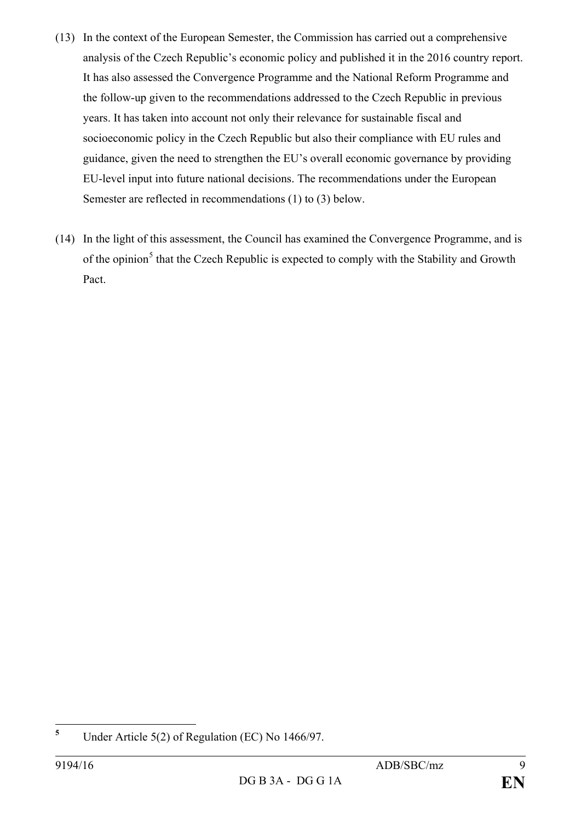- (13) In the context of the European Semester, the Commission has carried out a comprehensive analysis of the Czech Republic's economic policy and published it in the 2016 country report. It has also assessed the Convergence Programme and the National Reform Programme and the follow-up given to the recommendations addressed to the Czech Republic in previous years. It has taken into account not only their relevance for sustainable fiscal and socioeconomic policy in the Czech Republic but also their compliance with EU rules and guidance, given the need to strengthen the EU's overall economic governance by providing EU-level input into future national decisions. The recommendations under the European Semester are reflected in recommendations (1) to (3) below.
- (14) In the light of this assessment, the Council has examined the Convergence Programme, and is of the opinion<sup>[5](#page-8-0)</sup> that the Czech Republic is expected to comply with the Stability and Growth Pact.

<span id="page-8-0"></span>**<sup>5</sup>** Under Article 5(2) of Regulation (EC) No 1466/97.